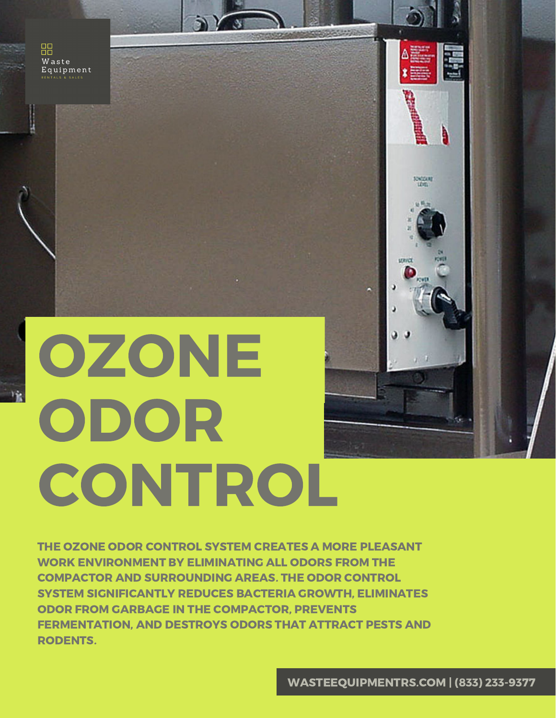品 Waste Equipment

 $\mathcal{V}_{\mathbf{R}}$ 

# OZONE ODOR **CONTROL**

THE OZONE ODOR CONTROL SYSTEM CREATES A MORE PLEASANT WORK ENVIRONMENT BY ELIMINATING ALL ODORS FROM THE COMPACTOR AND SURROUNDING AREAS. THE ODOR CONTROL SYSTEM SIGNIFICANTLY REDUCES BACTERIA GROWTH, ELIMINATES ODOR FROM GARBAGE IN THE COMPACTOR, PREVENTS FERMENTATION, AND DESTROYS ODORS THAT ATTRACT PESTS AND RODENTS.

 $\sim$ 

ł

**SOGUAL** 

unna